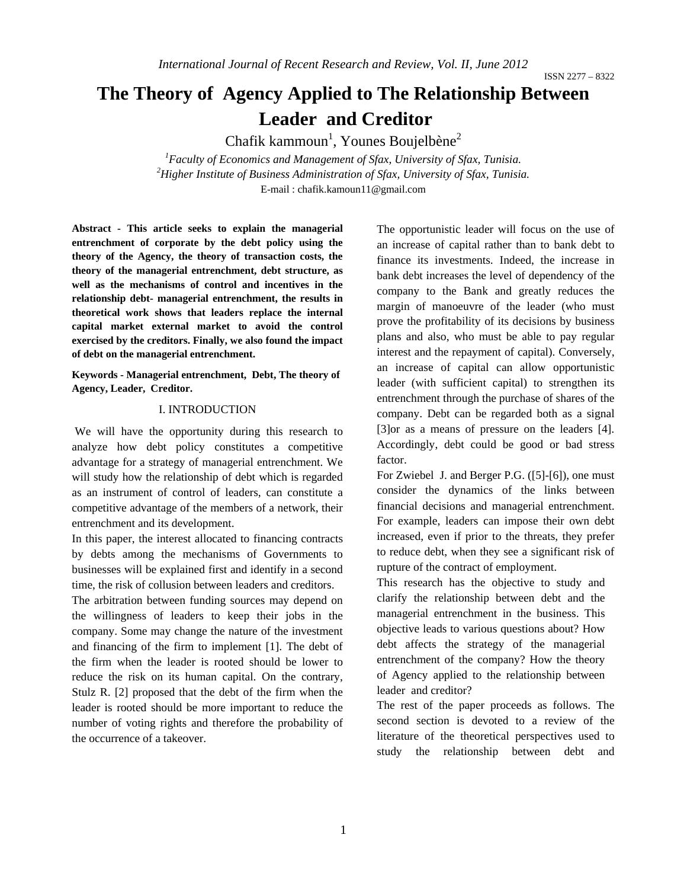# **The Theory of Agency Applied to The Relationship Between Leader and Creditor**

Chafik kammoun<sup>1</sup>, Younes Boujelbène<sup>2</sup>

<sup>1</sup> Faculty of Economics and Management of Sfax, University of Sfax, Tunisia.<br><sup>2</sup> Higher Institute of Puningse Administration of Sfan University of Sfan Tunisia. <sup>2</sup> Higher Institute of Business Administration of Sfax, University of Sfax, Tunisia. E-mail : chafik.kamoun11@gmail.com

**Abstract - This article seeks to explain the managerial entrenchment of corporate by the debt policy using the theory of the Agency, the theory of transaction costs, the theory of the managerial entrenchment, debt structure, as well as the mechanisms of control and incentives in the relationship debt- managerial entrenchment, the results in theoretical work shows that leaders replace the internal capital market external market to avoid the control exercised by the creditors. Finally, we also found the impact of debt on the managerial entrenchment.** 

**Keywords - Managerial entrenchment, Debt, The theory of Agency, Leader, Creditor.**

#### I. INTRODUCTION

 We will have the opportunity during this research to analyze how debt policy constitutes a competitive advantage for a strategy of managerial entrenchment. We will study how the relationship of debt which is regarded as an instrument of control of leaders, can constitute a competitive advantage of the members of a network, their entrenchment and its development.

In this paper, the interest allocated to financing contracts by debts among the mechanisms of Governments to businesses will be explained first and identify in a second time, the risk of collusion between leaders and creditors.

The arbitration between funding sources may depend on the willingness of leaders to keep their jobs in the company. Some may change the nature of the investment and financing of the firm to implement [1]. The debt of the firm when the leader is rooted should be lower to reduce the risk on its human capital. On the contrary, Stulz R. [2] proposed that the debt of the firm when the leader is rooted should be more important to reduce the number of voting rights and therefore the probability of the occurrence of a takeover.

The opportunistic leader will focus on the use of an increase of capital rather than to bank debt to finance its investments. Indeed, the increase in bank debt increases the level of dependency of the company to the Bank and greatly reduces the margin of manoeuvre of the leader (who must prove the profitability of its decisions by business plans and also, who must be able to pay regular interest and the repayment of capital). Conversely, an increase of capital can allow opportunistic leader (with sufficient capital) to strengthen its entrenchment through the purchase of shares of the company. Debt can be regarded both as a signal [3]or as a means of pressure on the leaders [4]. Accordingly, debt could be good or bad stress factor.

For Zwiebel J. and Berger P.G. ([5]-[6]), one must consider the dynamics of the links between financial decisions and managerial entrenchment. For example, leaders can impose their own debt increased, even if prior to the threats, they prefer to reduce debt, when they see a significant risk of rupture of the contract of employment.

This research has the objective to study and clarify the relationship between debt and the managerial entrenchment in the business. This objective leads to various questions about? How debt affects the strategy of the managerial entrenchment of the company? How the theory of Agency applied to the relationship between leader and creditor?

The rest of the paper proceeds as follows. The second section is devoted to a review of the literature of the theoretical perspectives used to study the relationship between debt and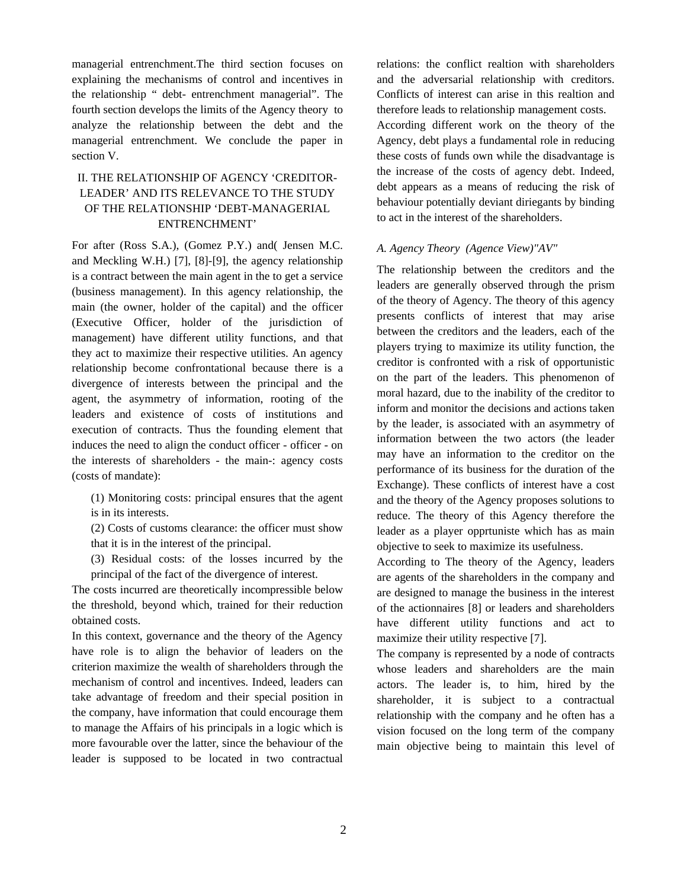managerial entrenchment.The third section focuses on explaining the mechanisms of control and incentives in the relationship " debt- entrenchment managerial". The fourth section develops the limits of the Agency theory to analyze the relationship between the debt and the managerial entrenchment. We conclude the paper in section V.

# II. THE RELATIONSHIP OF AGENCY 'CREDITOR-LEADER' AND ITS RELEVANCE TO THE STUDY OF THE RELATIONSHIP 'DEBT-MANAGERIAL ENTRENCHMENT'

For after (Ross S.A.), (Gomez P.Y.) and( Jensen M.C. and Meckling W.H.) [7], [8]-[9], the agency relationship is a contract between the main agent in the to get a service (business management). In this agency relationship, the main (the owner, holder of the capital) and the officer (Executive Officer, holder of the jurisdiction of management) have different utility functions, and that they act to maximize their respective utilities. An agency relationship become confrontational because there is a divergence of interests between the principal and the agent, the asymmetry of information, rooting of the leaders and existence of costs of institutions and execution of contracts. Thus the founding element that induces the need to align the conduct officer - officer - on the interests of shareholders - the main-: agency costs (costs of mandate):

(1) Monitoring costs: principal ensures that the agent is in its interests.

(2) Costs of customs clearance: the officer must show that it is in the interest of the principal.

(3) Residual costs: of the losses incurred by the principal of the fact of the divergence of interest.

The costs incurred are theoretically incompressible below the threshold, beyond which, trained for their reduction obtained costs.

In this context, governance and the theory of the Agency have role is to align the behavior of leaders on the criterion maximize the wealth of shareholders through the mechanism of control and incentives. Indeed, leaders can take advantage of freedom and their special position in the company, have information that could encourage them to manage the Affairs of his principals in a logic which is more favourable over the latter, since the behaviour of the leader is supposed to be located in two contractual

relations: the conflict realtion with shareholders and the adversarial relationship with creditors. Conflicts of interest can arise in this realtion and therefore leads to relationship management costs. According different work on the theory of the Agency, debt plays a fundamental role in reducing these costs of funds own while the disadvantage is the increase of the costs of agency debt. Indeed, debt appears as a means of reducing the risk of behaviour potentially deviant diriegants by binding to act in the interest of the shareholders.

#### *A. Agency Theory (Agence View)"AV"*

The relationship between the creditors and the leaders are generally observed through the prism of the theory of Agency. The theory of this agency presents conflicts of interest that may arise between the creditors and the leaders, each of the players trying to maximize its utility function, the creditor is confronted with a risk of opportunistic on the part of the leaders. This phenomenon of moral hazard, due to the inability of the creditor to inform and monitor the decisions and actions taken by the leader, is associated with an asymmetry of information between the two actors (the leader may have an information to the creditor on the performance of its business for the duration of the Exchange). These conflicts of interest have a cost and the theory of the Agency proposes solutions to reduce. The theory of this Agency therefore the leader as a player opprtuniste which has as main objective to seek to maximize its usefulness.

According to The theory of the Agency, leaders are agents of the shareholders in the company and are designed to manage the business in the interest of the actionnaires [8] or leaders and shareholders have different utility functions and act to maximize their utility respective [7].

The company is represented by a node of contracts whose leaders and shareholders are the main actors. The leader is, to him, hired by the shareholder, it is subject to a contractual relationship with the company and he often has a vision focused on the long term of the company main objective being to maintain this level of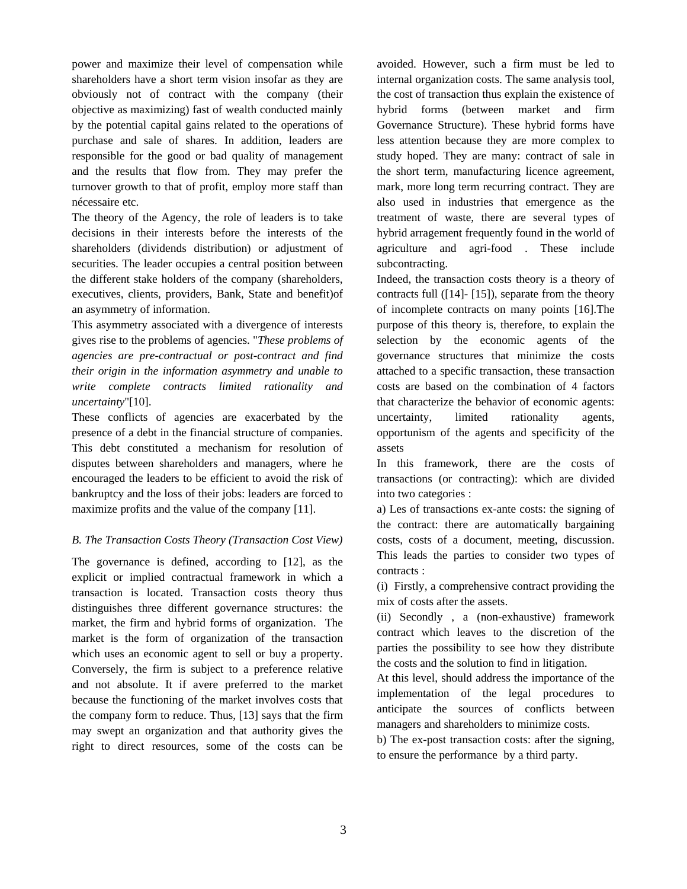power and maximize their level of compensation while shareholders have a short term vision insofar as they are obviously not of contract with the company (their objective as maximizing) fast of wealth conducted mainly by the potential capital gains related to the operations of purchase and sale of shares. In addition, leaders are responsible for the good or bad quality of management and the results that flow from. They may prefer the turnover growth to that of profit, employ more staff than nécessaire etc.

The theory of the Agency, the role of leaders is to take decisions in their interests before the interests of the shareholders (dividends distribution) or adjustment of securities. The leader occupies a central position between the different stake holders of the company (shareholders, executives, clients, providers, Bank, State and benefit)of an asymmetry of information.

This asymmetry associated with a divergence of interests gives rise to the problems of agencies. "*These problems of agencies are pre-contractual or post-contract and find their origin in the information asymmetry and unable to write complete contracts limited rationality and uncertainty*"[10].

These conflicts of agencies are exacerbated by the presence of a debt in the financial structure of companies. This debt constituted a mechanism for resolution of disputes between shareholders and managers, where he encouraged the leaders to be efficient to avoid the risk of bankruptcy and the loss of their jobs: leaders are forced to maximize profits and the value of the company [11].

#### *B. The Transaction Costs Theory (Transaction Cost View)*

The governance is defined, according to [12], as the explicit or implied contractual framework in which a transaction is located. Transaction costs theory thus distinguishes three different governance structures: the market, the firm and hybrid forms of organization. The market is the form of organization of the transaction which uses an economic agent to sell or buy a property. Conversely, the firm is subject to a preference relative and not absolute. It if avere preferred to the market because the functioning of the market involves costs that the company form to reduce. Thus, [13] says that the firm may swept an organization and that authority gives the right to direct resources, some of the costs can be

avoided. However, such a firm must be led to internal organization costs. The same analysis tool, the cost of transaction thus explain the existence of hybrid forms (between market and firm Governance Structure). These hybrid forms have less attention because they are more complex to study hoped. They are many: contract of sale in the short term, manufacturing licence agreement, mark, more long term recurring contract. They are also used in industries that emergence as the treatment of waste, there are several types of hybrid arragement frequently found in the world of agriculture and agri-food . These include subcontracting.

Indeed, the transaction costs theory is a theory of contracts full ([14]- [15]), separate from the theory of incomplete contracts on many points [16].The purpose of this theory is, therefore, to explain the selection by the economic agents of the governance structures that minimize the costs attached to a specific transaction, these transaction costs are based on the combination of 4 factors that characterize the behavior of economic agents: uncertainty, limited rationality agents, opportunism of the agents and specificity of the assets

In this framework, there are the costs of transactions (or contracting): which are divided into two categories :

a) Les of transactions ex-ante costs: the signing of the contract: there are automatically bargaining costs, costs of a document, meeting, discussion. This leads the parties to consider two types of contracts :

(i) Firstly, a comprehensive contract providing the mix of costs after the assets.

(ii) Secondly , a (non-exhaustive) framework contract which leaves to the discretion of the parties the possibility to see how they distribute the costs and the solution to find in litigation.

At this level, should address the importance of the implementation of the legal procedures to anticipate the sources of conflicts between managers and shareholders to minimize costs.

b) The ex-post transaction costs: after the signing, to ensure the performance by a third party.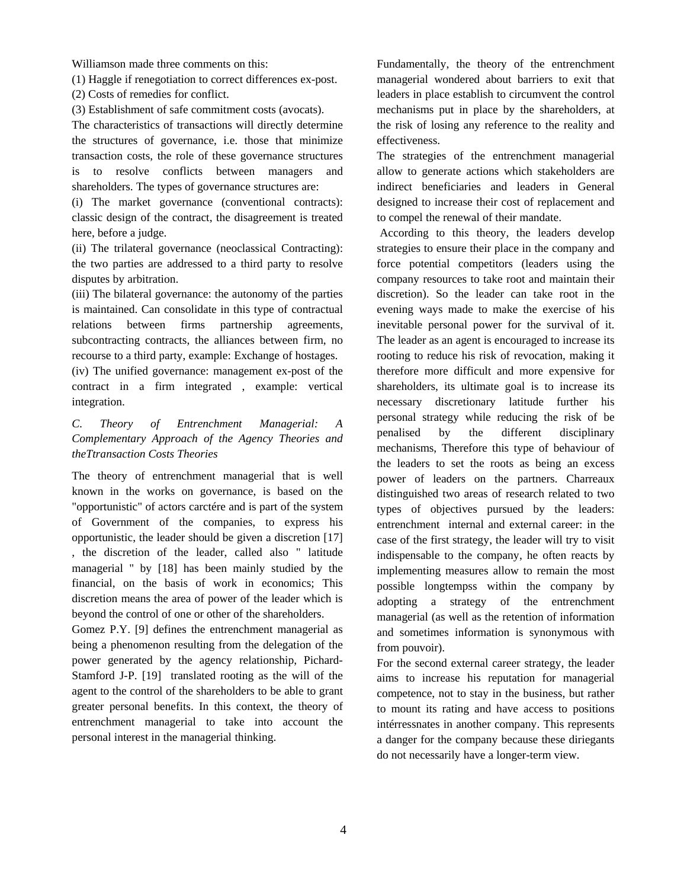Williamson made three comments on this:

(1) Haggle if renegotiation to correct differences ex-post.

(2) Costs of remedies for conflict.

(3) Establishment of safe commitment costs (avocats).

The characteristics of transactions will directly determine the structures of governance, i.e. those that minimize transaction costs, the role of these governance structures is to resolve conflicts between managers and shareholders. The types of governance structures are:

(i) The market governance (conventional contracts): classic design of the contract, the disagreement is treated here, before a judge.

(ii) The trilateral governance (neoclassical Contracting): the two parties are addressed to a third party to resolve disputes by arbitration.

(iii) The bilateral governance: the autonomy of the parties is maintained. Can consolidate in this type of contractual relations between firms partnership agreements, subcontracting contracts, the alliances between firm, no recourse to a third party, example: Exchange of hostages.

(iv) The unified governance: management ex-post of the contract in a firm integrated , example: vertical integration.

## *C. Theory of Entrenchment Managerial: A Complementary Approach of the Agency Theories and theTtransaction Costs Theories*

The theory of entrenchment managerial that is well known in the works on governance, is based on the "opportunistic" of actors carctére and is part of the system of Government of the companies, to express his opportunistic, the leader should be given a discretion [17] , the discretion of the leader, called also " latitude managerial " by [18] has been mainly studied by the financial, on the basis of work in economics; This discretion means the area of power of the leader which is beyond the control of one or other of the shareholders.

Gomez P.Y. [9] defines the entrenchment managerial as being a phenomenon resulting from the delegation of the power generated by the agency relationship, Pichard-Stamford J-P. [19] translated rooting as the will of the agent to the control of the shareholders to be able to grant greater personal benefits. In this context, the theory of entrenchment managerial to take into account the personal interest in the managerial thinking.

Fundamentally, the theory of the entrenchment managerial wondered about barriers to exit that leaders in place establish to circumvent the control mechanisms put in place by the shareholders, at the risk of losing any reference to the reality and effectiveness.

The strategies of the entrenchment managerial allow to generate actions which stakeholders are indirect beneficiaries and leaders in General designed to increase their cost of replacement and to compel the renewal of their mandate.

 According to this theory, the leaders develop strategies to ensure their place in the company and force potential competitors (leaders using the company resources to take root and maintain their discretion). So the leader can take root in the evening ways made to make the exercise of his inevitable personal power for the survival of it. The leader as an agent is encouraged to increase its rooting to reduce his risk of revocation, making it therefore more difficult and more expensive for shareholders, its ultimate goal is to increase its necessary discretionary latitude further his personal strategy while reducing the risk of be penalised by the different disciplinary mechanisms, Therefore this type of behaviour of the leaders to set the roots as being an excess power of leaders on the partners. Charreaux distinguished two areas of research related to two types of objectives pursued by the leaders: entrenchment internal and external career: in the case of the first strategy, the leader will try to visit indispensable to the company, he often reacts by implementing measures allow to remain the most possible longtempss within the company by adopting a strategy of the entrenchment managerial (as well as the retention of information and sometimes information is synonymous with from pouvoir).

For the second external career strategy, the leader aims to increase his reputation for managerial competence, not to stay in the business, but rather to mount its rating and have access to positions intérressnates in another company. This represents a danger for the company because these diriegants do not necessarily have a longer-term view.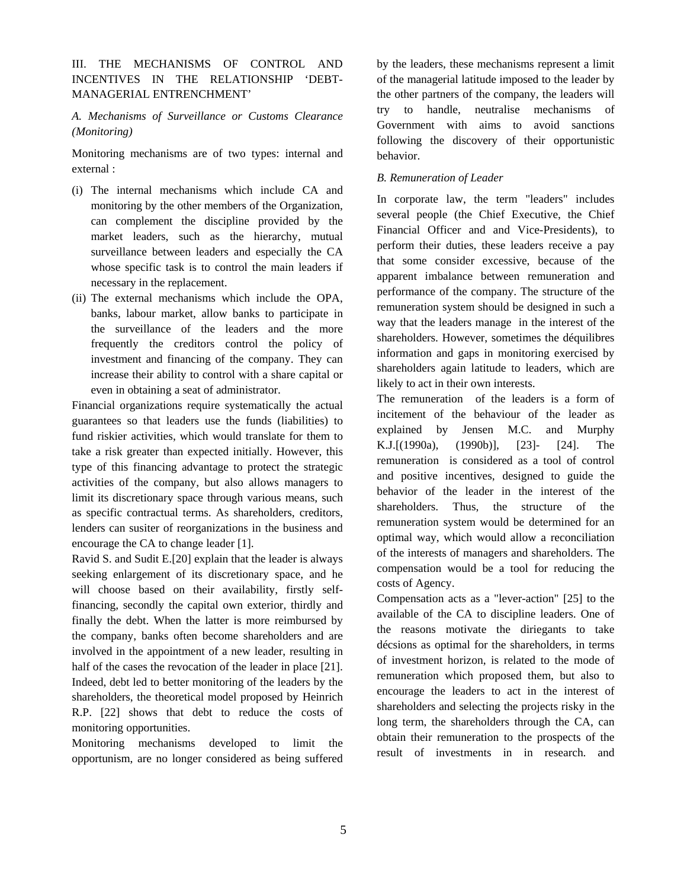III. THE MECHANISMS OF CONTROL AND INCENTIVES IN THE RELATIONSHIP 'DEBT-MANAGERIAL ENTRENCHMENT'

# *A. Mechanisms of Surveillance or Customs Clearance (Monitoring)*

Monitoring mechanisms are of two types: internal and external :

- (i) The internal mechanisms which include CA and monitoring by the other members of the Organization, can complement the discipline provided by the market leaders, such as the hierarchy, mutual surveillance between leaders and especially the CA whose specific task is to control the main leaders if necessary in the replacement.
- (ii) The external mechanisms which include the OPA, banks, labour market, allow banks to participate in the surveillance of the leaders and the more frequently the creditors control the policy of investment and financing of the company. They can increase their ability to control with a share capital or even in obtaining a seat of administrator.

Financial organizations require systematically the actual guarantees so that leaders use the funds (liabilities) to fund riskier activities, which would translate for them to take a risk greater than expected initially. However, this type of this financing advantage to protect the strategic activities of the company, but also allows managers to limit its discretionary space through various means, such as specific contractual terms. As shareholders, creditors, lenders can susiter of reorganizations in the business and encourage the CA to change leader [1].

Ravid S. and Sudit E.[20] explain that the leader is always seeking enlargement of its discretionary space, and he will choose based on their availability, firstly selffinancing, secondly the capital own exterior, thirdly and finally the debt. When the latter is more reimbursed by the company, banks often become shareholders and are involved in the appointment of a new leader, resulting in half of the cases the revocation of the leader in place [21]. Indeed, debt led to better monitoring of the leaders by the shareholders, the theoretical model proposed by Heinrich R.P. [22] shows that debt to reduce the costs of monitoring opportunities.

Monitoring mechanisms developed to limit the opportunism, are no longer considered as being suffered by the leaders, these mechanisms represent a limit of the managerial latitude imposed to the leader by the other partners of the company, the leaders will try to handle, neutralise mechanisms of Government with aims to avoid sanctions following the discovery of their opportunistic behavior.

#### *B. Remuneration of Leader*

In corporate law, the term "leaders" includes several people (the Chief Executive, the Chief Financial Officer and and Vice-Presidents), to perform their duties, these leaders receive a pay that some consider excessive, because of the apparent imbalance between remuneration and performance of the company. The structure of the remuneration system should be designed in such a way that the leaders manage in the interest of the shareholders. However, sometimes the déquilibres information and gaps in monitoring exercised by shareholders again latitude to leaders, which are likely to act in their own interests.

The remuneration of the leaders is a form of incitement of the behaviour of the leader as explained by Jensen M.C. and Murphy K.J.[(1990a), (1990b)], [23]- [24]. The remuneration is considered as a tool of control and positive incentives, designed to guide the behavior of the leader in the interest of the shareholders. Thus, the structure of the remuneration system would be determined for an optimal way, which would allow a reconciliation of the interests of managers and shareholders. The compensation would be a tool for reducing the costs of Agency.

Compensation acts as a "lever-action" [25] to the available of the CA to discipline leaders. One of the reasons motivate the diriegants to take décsions as optimal for the shareholders, in terms of investment horizon, is related to the mode of remuneration which proposed them, but also to encourage the leaders to act in the interest of shareholders and selecting the projects risky in the long term, the shareholders through the CA, can obtain their remuneration to the prospects of the result of investments in in research. and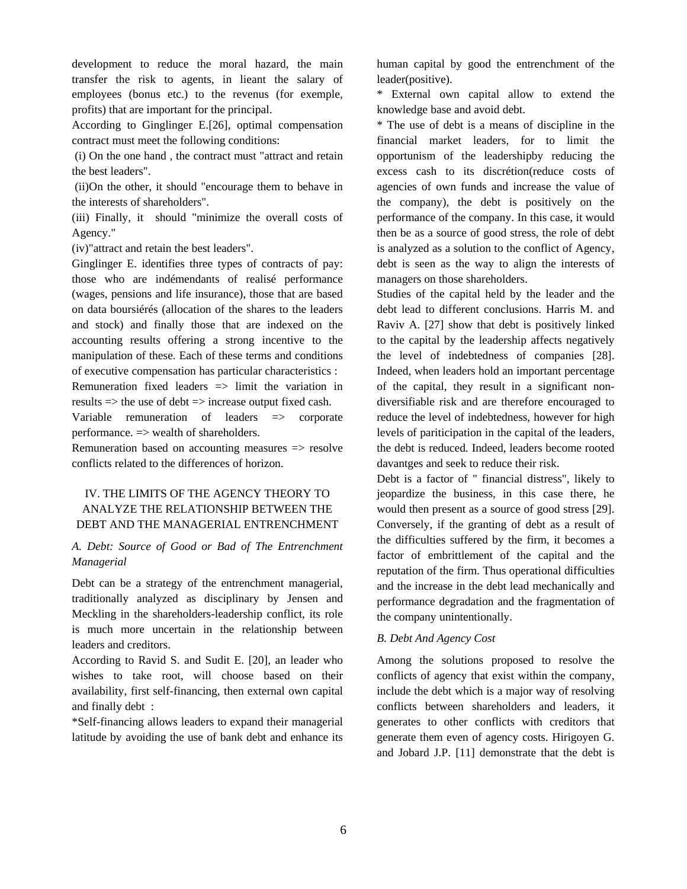development to reduce the moral hazard, the main transfer the risk to agents, in lieant the salary of employees (bonus etc.) to the revenus (for exemple, profits) that are important for the principal.

According to Ginglinger E.[26], optimal compensation contract must meet the following conditions:

 (i) On the one hand , the contract must "attract and retain the best leaders".

 (ii)On the other, it should "encourage them to behave in the interests of shareholders".

(iii) Finally, it should "minimize the overall costs of Agency."

(iv)"attract and retain the best leaders".

Ginglinger E. identifies three types of contracts of pay: those who are indémendants of realisé performance (wages, pensions and life insurance), those that are based on data boursiérés (allocation of the shares to the leaders and stock) and finally those that are indexed on the accounting results offering a strong incentive to the manipulation of these. Each of these terms and conditions of executive compensation has particular characteristics : Remuneration fixed leaders => limit the variation in

results => the use of debt => increase output fixed cash.

Variable remuneration of leaders => corporate performance.  $\Rightarrow$  wealth of shareholders.

Remuneration based on accounting measures => resolve conflicts related to the differences of horizon.

# IV. THE LIMITS OF THE AGENCY THEORY TO ANALYZE THE RELATIONSHIP BETWEEN THE DEBT AND THE MANAGERIAL ENTRENCHMENT

### *A. Debt: Source of Good or Bad of The Entrenchment Managerial*

Debt can be a strategy of the entrenchment managerial, traditionally analyzed as disciplinary by Jensen and Meckling in the shareholders-leadership conflict, its role is much more uncertain in the relationship between leaders and creditors.

According to Ravid S. and Sudit E. [20], an leader who wishes to take root, will choose based on their availability, first self-financing, then external own capital and finally debt :

\*Self-financing allows leaders to expand their managerial latitude by avoiding the use of bank debt and enhance its human capital by good the entrenchment of the leader(positive).

\* External own capital allow to extend the knowledge base and avoid debt.

\* The use of debt is a means of discipline in the financial market leaders, for to limit the opportunism of the leadershipby reducing the excess cash to its discrétion(reduce costs of agencies of own funds and increase the value of the company), the debt is positively on the performance of the company. In this case, it would then be as a source of good stress, the role of debt is analyzed as a solution to the conflict of Agency, debt is seen as the way to align the interests of managers on those shareholders.

Studies of the capital held by the leader and the debt lead to different conclusions. Harris M. and Raviv A. [27] show that debt is positively linked to the capital by the leadership affects negatively the level of indebtedness of companies [28]. Indeed, when leaders hold an important percentage of the capital, they result in a significant nondiversifiable risk and are therefore encouraged to reduce the level of indebtedness, however for high levels of pariticipation in the capital of the leaders, the debt is reduced. Indeed, leaders become rooted davantges and seek to reduce their risk.

Debt is a factor of " financial distress", likely to jeopardize the business, in this case there, he would then present as a source of good stress [29]. Conversely, if the granting of debt as a result of the difficulties suffered by the firm, it becomes a factor of embrittlement of the capital and the reputation of the firm. Thus operational difficulties and the increase in the debt lead mechanically and performance degradation and the fragmentation of the company unintentionally.

#### *B. Debt And Agency Cost*

Among the solutions proposed to resolve the conflicts of agency that exist within the company, include the debt which is a major way of resolving conflicts between shareholders and leaders, it generates to other conflicts with creditors that generate them even of agency costs. Hirigoyen G. and Jobard J.P. [11] demonstrate that the debt is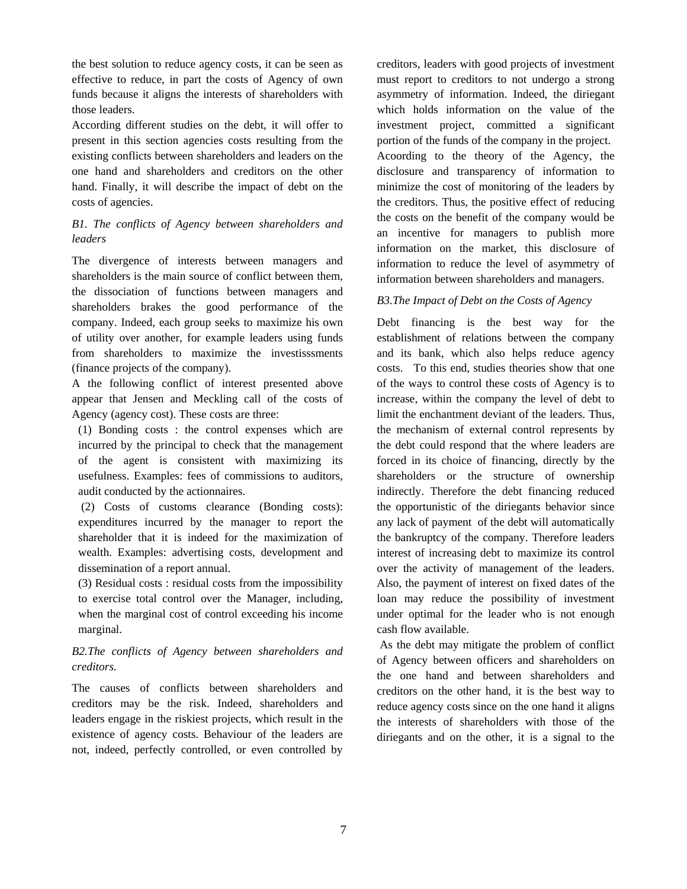the best solution to reduce agency costs, it can be seen as effective to reduce, in part the costs of Agency of own funds because it aligns the interests of shareholders with those leaders.

According different studies on the debt, it will offer to present in this section agencies costs resulting from the existing conflicts between shareholders and leaders on the one hand and shareholders and creditors on the other hand. Finally, it will describe the impact of debt on the costs of agencies.

# *B1. The conflicts of Agency between shareholders and leaders*

The divergence of interests between managers and shareholders is the main source of conflict between them, the dissociation of functions between managers and shareholders brakes the good performance of the company. Indeed, each group seeks to maximize his own of utility over another, for example leaders using funds from shareholders to maximize the investisssments (finance projects of the company).

A the following conflict of interest presented above appear that Jensen and Meckling call of the costs of Agency (agency cost). These costs are three:

(1) Bonding costs : the control expenses which are incurred by the principal to check that the management of the agent is consistent with maximizing its usefulness. Examples: fees of commissions to auditors, audit conducted by the actionnaires.

 (2) Costs of customs clearance (Bonding costs): expenditures incurred by the manager to report the shareholder that it is indeed for the maximization of wealth. Examples: advertising costs, development and dissemination of a report annual.

(3) Residual costs : residual costs from the impossibility to exercise total control over the Manager, including, when the marginal cost of control exceeding his income marginal.

# *B2.The conflicts of Agency between shareholders and creditors.*

The causes of conflicts between shareholders and creditors may be the risk. Indeed, shareholders and leaders engage in the riskiest projects, which result in the existence of agency costs. Behaviour of the leaders are not, indeed, perfectly controlled, or even controlled by creditors, leaders with good projects of investment must report to creditors to not undergo a strong asymmetry of information. Indeed, the diriegant which holds information on the value of the investment project, committed a significant portion of the funds of the company in the project. Acoording to the theory of the Agency, the disclosure and transparency of information to minimize the cost of monitoring of the leaders by the creditors. Thus, the positive effect of reducing the costs on the benefit of the company would be an incentive for managers to publish more information on the market, this disclosure of information to reduce the level of asymmetry of information between shareholders and managers.

## *B3.The Impact of Debt on the Costs of Agency*

Debt financing is the best way for the establishment of relations between the company and its bank, which also helps reduce agency costs. To this end, studies theories show that one of the ways to control these costs of Agency is to increase, within the company the level of debt to limit the enchantment deviant of the leaders. Thus, the mechanism of external control represents by the debt could respond that the where leaders are forced in its choice of financing, directly by the shareholders or the structure of ownership indirectly. Therefore the debt financing reduced the opportunistic of the diriegants behavior since any lack of payment of the debt will automatically the bankruptcy of the company. Therefore leaders interest of increasing debt to maximize its control over the activity of management of the leaders. Also, the payment of interest on fixed dates of the loan may reduce the possibility of investment under optimal for the leader who is not enough cash flow available.

 As the debt may mitigate the problem of conflict of Agency between officers and shareholders on the one hand and between shareholders and creditors on the other hand, it is the best way to reduce agency costs since on the one hand it aligns the interests of shareholders with those of the diriegants and on the other, it is a signal to the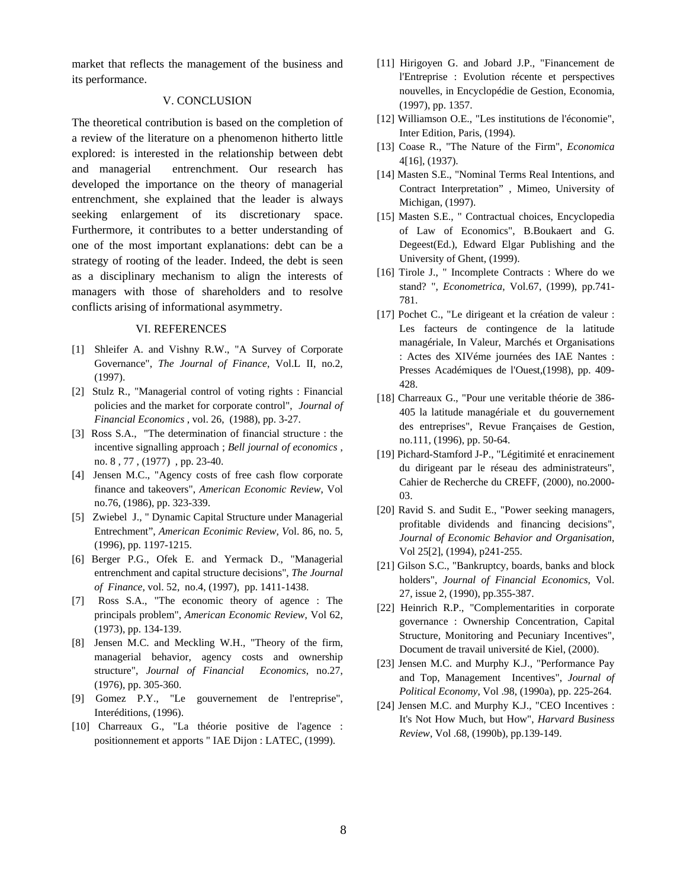market that reflects the management of the business and its performance.

#### V. CONCLUSION

The theoretical contribution is based on the completion of a review of the literature on a phenomenon hitherto little explored: is interested in the relationship between debt and managerial entrenchment. Our research has developed the importance on the theory of managerial entrenchment, she explained that the leader is always seeking enlargement of its discretionary space. Furthermore, it contributes to a better understanding of one of the most important explanations: debt can be a strategy of rooting of the leader. Indeed, the debt is seen as a disciplinary mechanism to align the interests of managers with those of shareholders and to resolve conflicts arising of informational asymmetry.

#### VI. REFERENCES

- [1] Shleifer A. and Vishny R.W., "A Survey of Corporate Governance", *The Journal of Finance*, Vol.L II, no.2, (1997).
- [2] Stulz R., "Managerial control of voting rights : Financial policies and the market for corporate control", *Journal of Financial Economics* , vol. 26, (1988), pp. 3-27.
- [3] Ross S.A., "The determination of financial structure : the incentive signalling approach ; *Bell journal of economics* , no. 8 , 77 , (1977) , pp. 23-40.
- [4] Jensen M.C., "Agency costs of free cash flow corporate finance and takeovers", *American Economic Review*, Vol no.76, (1986), pp. 323-339.
- [5] Zwiebel J., " Dynamic Capital Structure under Managerial Entrechment", *American Econimic Review, V*ol. 86, no. 5, (1996), pp. 1197-1215.
- [6] Berger P.G., Ofek E. and Yermack D., "Managerial entrenchment and capital structure decisions", *The Journal of Finance*, vol. 52, no.4, (1997), pp. 1411-1438.
- [7] Ross S.A., "The economic theory of agence : The principals problem", *American Economic Review*, Vol 62, (1973), pp. 134-139.
- [8] Jensen M.C. and Meckling W.H., "Theory of the firm, managerial behavior, agency costs and ownership structure", *Journal of Financial Economics*, no.27, (1976), pp. 305-360.
- [9] Gomez P.Y., "Le gouvernement de l'entreprise", Interéditions, (1996).
- [10] Charreaux G., "La théorie positive de l'agence : positionnement et apports " IAE Dijon : LATEC, (1999).
- [11] Hirigoyen G. and Jobard J.P., "Financement de l'Entreprise : Evolution récente et perspectives nouvelles, in Encyclopédie de Gestion, Economia, (1997), pp. 1357.
- [12] Williamson O.E., "Les institutions de l'économie", Inter Edition, Paris, (1994).
- [13] Coase R., "The Nature of the Firm", *Economica* 4[16], (1937).
- [14] Masten S.E., "Nominal Terms Real Intentions, and Contract Interpretation" , Mimeo, University of Michigan, (1997).
- [15] Masten S.E., " Contractual choices, Encyclopedia of Law of Economics", B.Boukaert and G. Degeest(Ed.), Edward Elgar Publishing and the University of Ghent, (1999).
- [16] Tirole J., " Incomplete Contracts : Where do we stand? ", *Econometrica*, Vol.67, (1999), pp.741- 781.
- [17] Pochet C., "Le dirigeant et la création de valeur : Les facteurs de contingence de la latitude managériale, In Valeur, Marchés et Organisations : Actes des XIVéme journées des IAE Nantes : Presses Académiques de l'Ouest,(1998), pp. 409- 428.
- [18] Charreaux G., "Pour une veritable théorie de 386-405 la latitude managériale et du gouvernement des entreprises", Revue Françaises de Gestion, no.111, (1996), pp. 50-64.
- [19] Pichard-Stamford J-P., "Légitimité et enracinement du dirigeant par le réseau des administrateurs", Cahier de Recherche du CREFF, (2000), no.2000- 03.
- [20] Ravid S. and Sudit E., "Power seeking managers, profitable dividends and financing decisions", *Journal of Economic Behavior and Organisation*, Vol 25[2], (1994), p241-255.
- [21] Gilson S.C., "Bankruptcy, boards, banks and block holders", *Journal of Financial Economics,* Vol. 27, issue 2, (1990), pp.355-387.
- [22] Heinrich R.P., "Complementarities in corporate governance : Ownership Concentration, Capital Structure, Monitoring and Pecuniary Incentives", Document de travail université de Kiel, (2000).
- [23] Jensen M.C. and Murphy K.J., "Performance Pay and Top, Management Incentives", *Journal of Political Economy*, Vol .98, (1990a), pp. 225-264.
- [24] Jensen M.C. and Murphy K.J., "CEO Incentives : It's Not How Much, but How", *Harvard Business Review*, Vol .68, (1990b), pp.139-149.